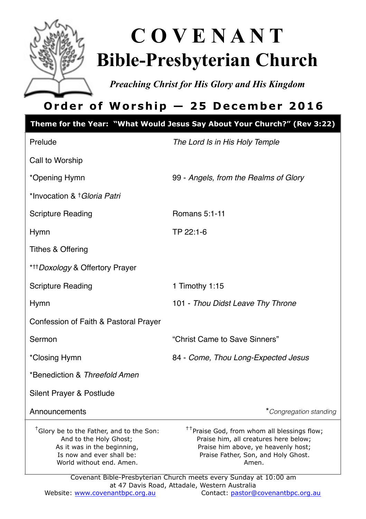

# **C O V E N A N T Bible-Presbyterian Church**

*Preaching Christ for His Glory and His Kingdom* 

# **Order of Worship — 25 December 2016**

|                                                                                                                                                                        | Theme for the Year: "What Would Jesus Say About Your Church?" (Rev 3:22)                                                                                                                |  |  |  |
|------------------------------------------------------------------------------------------------------------------------------------------------------------------------|-----------------------------------------------------------------------------------------------------------------------------------------------------------------------------------------|--|--|--|
| Prelude                                                                                                                                                                | The Lord Is in His Holy Temple                                                                                                                                                          |  |  |  |
| Call to Worship                                                                                                                                                        |                                                                                                                                                                                         |  |  |  |
| *Opening Hymn                                                                                                                                                          | 99 - Angels, from the Realms of Glory                                                                                                                                                   |  |  |  |
| *Invocation & † Gloria Patri                                                                                                                                           |                                                                                                                                                                                         |  |  |  |
| <b>Scripture Reading</b>                                                                                                                                               | Romans 5:1-11                                                                                                                                                                           |  |  |  |
| Hymn                                                                                                                                                                   | TP 22:1-6                                                                                                                                                                               |  |  |  |
| <b>Tithes &amp; Offering</b>                                                                                                                                           |                                                                                                                                                                                         |  |  |  |
| ***Doxology & Offertory Prayer                                                                                                                                         |                                                                                                                                                                                         |  |  |  |
| <b>Scripture Reading</b>                                                                                                                                               | 1 Timothy 1:15                                                                                                                                                                          |  |  |  |
| <b>Hymn</b>                                                                                                                                                            | 101 - Thou Didst Leave Thy Throne                                                                                                                                                       |  |  |  |
| Confession of Faith & Pastoral Prayer                                                                                                                                  |                                                                                                                                                                                         |  |  |  |
| Sermon                                                                                                                                                                 | "Christ Came to Save Sinners"                                                                                                                                                           |  |  |  |
| *Closing Hymn                                                                                                                                                          | 84 - Come, Thou Long-Expected Jesus                                                                                                                                                     |  |  |  |
| *Benediction & Threefold Amen                                                                                                                                          |                                                                                                                                                                                         |  |  |  |
| Silent Prayer & Postlude                                                                                                                                               |                                                                                                                                                                                         |  |  |  |
| Announcements                                                                                                                                                          | *Congregation standing                                                                                                                                                                  |  |  |  |
| <sup>†</sup> Glory be to the Father, and to the Son:<br>And to the Holy Ghost;<br>As it was in the beginning,<br>Is now and ever shall be:<br>World without end. Amen. | <sup>††</sup> Praise God, from whom all blessings flow;<br>Praise him, all creatures here below;<br>Praise him above, ye heavenly host;<br>Praise Father, Son, and Holy Ghost.<br>Amen. |  |  |  |
| Covenant Bible-Presbyterian Church meets every Sunday at 10:00 am                                                                                                      |                                                                                                                                                                                         |  |  |  |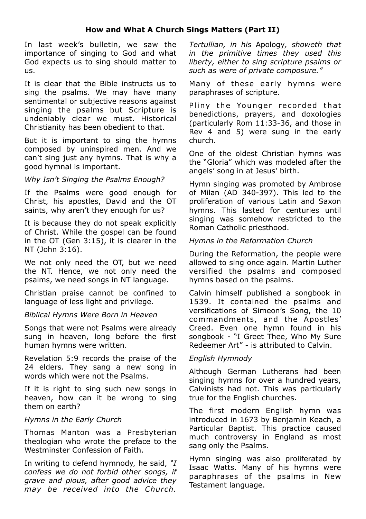#### **How and What A Church Sings Matters (Part II)**

In last week's bulletin, we saw the importance of singing to God and what God expects us to sing should matter to us.

It is clear that the Bible instructs us to sing the psalms. We may have many sentimental or subjective reasons against singing the psalms but Scripture is undeniably clear we must. Historical Christianity has been obedient to that.

But it is important to sing the hymns composed by uninspired men. And we can't sing just any hymns. That is why a good hymnal is important.

#### *Why Isn't Singing the Psalms Enough?*

If the Psalms were good enough for Christ, his apostles, David and the OT saints, why aren't they enough for us?

It is because they do not speak explicitly of Christ. While the gospel can be found in the OT (Gen 3:15), it is clearer in the NT (John 3:16).

We not only need the OT, but we need the NT. Hence, we not only need the psalms, we need songs in NT language.

Christian praise cannot be confined to language of less light and privilege.

#### *Biblical Hymns Were Born in Heaven*

Songs that were not Psalms were already sung in heaven, long before the first human hymns were written.

Revelation 5:9 records the praise of the 24 elders. They sang a new song in words which were not the Psalms.

If it is right to sing such new songs in heaven, how can it be wrong to sing them on earth?

#### *Hymns in the Early Church*

Thomas Manton was a Presbyterian theologian who wrote the preface to the Westminster Confession of Faith.

In writing to defend hymnody, he said, *"I confess we do not forbid other songs, if grave and pious, after good advice they may be received into the Church.* 

*Tertullian, in his* Apology*, showeth that in the primitive times they used this liberty, either to sing scripture psalms or such as were of private composure."*

Many of these early hymns were paraphrases of scripture.

Pliny the Younger recorded that benedictions, prayers, and doxologies (particularly Rom 11:33-36, and those in Rev 4 and 5) were sung in the early church.

One of the oldest Christian hymns was the "Gloria" which was modeled after the angels' song in at Jesus' birth.

Hymn singing was promoted by Ambrose of Milan (AD 340-397). This led to the proliferation of various Latin and Saxon hymns. This lasted for centuries until singing was somehow restricted to the Roman Catholic priesthood.

#### *Hymns in the Reformation Church*

During the Reformation, the people were allowed to sing once again. Martin Luther versified the psalms and composed hymns based on the psalms.

Calvin himself published a songbook in 1539. It contained the psalms and versifications of Simeon's Song, the 10 commandments, and the Apostles' Creed. Even one hymn found in his songbook - "I Greet Thee, Who My Sure Redeemer Art" - is attributed to Calvin.

#### *English Hymnody*

Although German Lutherans had been singing hymns for over a hundred years, Calvinists had not. This was particularly true for the English churches.

The first modern English hymn was introduced in 1673 by Benjamin Keach, a Particular Baptist. This practice caused much controversy in England as most sang only the Psalms.

Hymn singing was also proliferated by Isaac Watts. Many of his hymns were paraphrases of the psalms in New Testament language.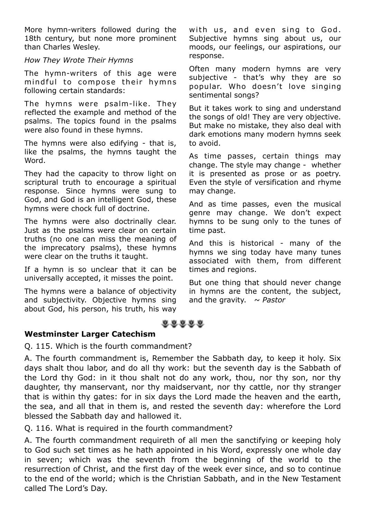More hymn-writers followed during the 18th century, but none more prominent than Charles Wesley.

#### *How They Wrote Their Hymns*

The hymn-writers of this age were mind ful to compose their hymns following certain standards:

The hymns were psalm-like. They reflected the example and method of the psalms. The topics found in the psalms were also found in these hymns.

The hymns were also edifying - that is, like the psalms, the hymns taught the Word.

They had the capacity to throw light on scriptural truth to encourage a spiritual response. Since hymns were sung to God, and God is an intelligent God, these hymns were chock full of doctrine.

The hymns were also doctrinally clear. Just as the psalms were clear on certain truths (no one can miss the meaning of the imprecatory psalms), these hymns were clear on the truths it taught.

If a hymn is so unclear that it can be universally accepted, it misses the point.

The hymns were a balance of objectivity and subjectivity. Objective hymns sing about God, his person, his truth, his way with us, and even sing to God. Subjective hymns sing about us, our moods, our feelings, our aspirations, our response.

Often many modern hymns are very subjective - that's why they are so popular. Who doesn't love singing sentimental songs?

But it takes work to sing and understand the songs of old! They are very objective. But make no mistake, they also deal with dark emotions many modern hymns seek to avoid.

As time passes, certain things may change. The style may change - whether it is presented as prose or as poetry. Even the style of versification and rhyme may change.

And as time passes, even the musical genre may change. We don't expect hymns to be sung only to the tunes of time past.

And this is historical - many of the hymns we sing today have many tunes associated with them, from different times and regions.

But one thing that should never change in hymns are the content, the subject, and the gravity.  $\sim$  Pastor



#### **Westminster Larger Catechism**

Q. 115. Which is the fourth commandment?

A. The fourth commandment is, Remember the Sabbath day, to keep it holy. Six days shalt thou labor, and do all thy work: but the seventh day is the Sabbath of the Lord thy God: in it thou shalt not do any work, thou, nor thy son, nor thy daughter, thy manservant, nor thy maidservant, nor thy cattle, nor thy stranger that is within thy gates: for in six days the Lord made the heaven and the earth, the sea, and all that in them is, and rested the seventh day: wherefore the Lord blessed the Sabbath day and hallowed it.

Q. 116. What is required in the fourth commandment?

A. The fourth commandment requireth of all men the sanctifying or keeping holy to God such set times as he hath appointed in his Word, expressly one whole day in seven; which was the seventh from the beginning of the world to the resurrection of Christ, and the first day of the week ever since, and so to continue to the end of the world; which is the Christian Sabbath, and in the New Testament called The Lord's Day.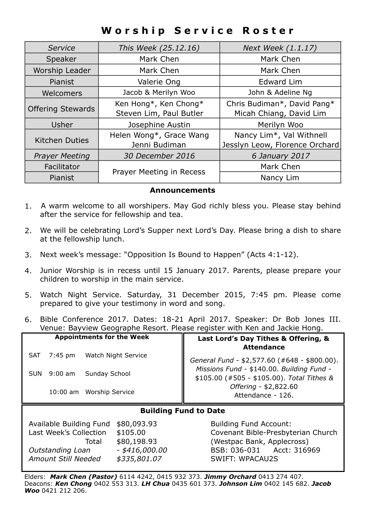## **Worship Service Roster**

| Service                  | This Week (25.12.16)     | Next Week (1.1.17)             |  |
|--------------------------|--------------------------|--------------------------------|--|
| Speaker                  | Mark Chen                | Mark Chen                      |  |
| Worship Leader           | Mark Chen                | Mark Chen                      |  |
| Pianist                  | Valerie Ong              | Edward Lim                     |  |
| Welcomers                | Jacob & Merilyn Woo      | John & Adeline Ng              |  |
| <b>Offering Stewards</b> | Ken Hong*, Ken Chong*    | Chris Budiman*, David Pang*    |  |
|                          | Steven Lim, Paul Butler  | Micah Chiang, David Lim        |  |
| Usher                    | Josephine Austin         | Merilyn Woo                    |  |
| <b>Kitchen Duties</b>    | Helen Wong*, Grace Wang  | Nancy Lim*, Val Withnell       |  |
|                          | Jenni Budiman            | Jesslyn Leow, Florence Orchard |  |
| <b>Prayer Meeting</b>    | 30 December 2016         | 6 January 2017                 |  |
| Facilitator              | Prayer Meeting in Recess | Mark Chen                      |  |
| Pianist                  |                          | Nancy Lim                      |  |

#### **Announcements**

- 1. A warm welcome to all worshipers. May God richly bless you. Please stay behind after the service for fellowship and tea.
- 2. We will be celebrating Lord's Supper next Lord's Day. Please bring a dish to share at the fellowship lunch.
- 3. Next week's message: "Opposition Is Bound to Happen" (Acts 4:1-12).
- 4. Junior Worship is in recess until 15 January 2017. Parents, please prepare your children to worship in the main service.
- 5. Watch Night Service. Saturday, 31 December 2015, 7:45 pm. Please come prepared to give your testimony in word and song.
- 6. Bible Conference 2017. Dates: 18-21 April 2017. Speaker: Dr Bob Jones III. Venue: Bayview Geographe Resort. Please register with Ken and Jackie Hong.

| <b>Appointments for the Week</b>      | Last Lord's Day Tithes & Offering, &<br><b>Attendance</b>                                 |  |  |  |
|---------------------------------------|-------------------------------------------------------------------------------------------|--|--|--|
| Watch Night Service<br>7:45 pm<br>SAT | General Fund - \$2,577.60 (#648 - \$800.00).<br>Missions Fund - \$140.00. Building Fund - |  |  |  |
| 9:00 am<br>Sunday School<br>SUN       | \$105.00 (#505 - \$105.00). Total Tithes &                                                |  |  |  |
| 10:00 am Worship Service              | Offering - \$2,822.60<br>Attendance - 126.                                                |  |  |  |
|                                       |                                                                                           |  |  |  |

#### **Building Fund to Date**

| Available Building Fund | \$80,093.93      |  |
|-------------------------|------------------|--|
| Last Week's Collection  | \$105.00         |  |
| Total                   | \$80,198.93      |  |
| Outstanding Loan        | $-$ \$416,000.00 |  |
| Amount Still Needed     | \$335,801.07     |  |
|                         |                  |  |

Building Fund Account: Covenant Bible-Presbyterian Church *(Westpac Bank, Applecross) Outstanding Loan - \$416,000.00* BSB: 036-031 Acct: 316969 *Amount Still Needed \$335,801.07* SWIFT: WPACAU2S

Elders: *Mark Chen (Pastor)* 6114 4242, 0415 932 373. *Jimmy Orchard* 0413 274 407. Deacons: *Ken Chong* 0402 553 313. *LH Chua* 0435 601 373. *Johnson Lim* 0402 145 682. *Jacob Woo* 0421 212 206.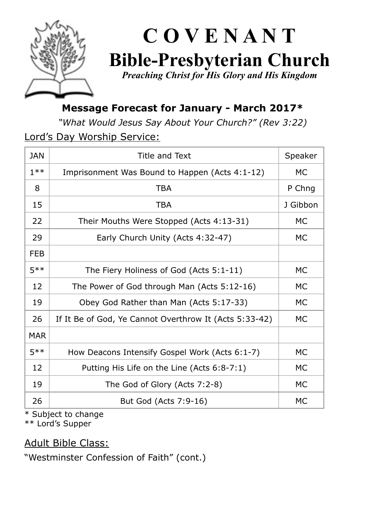

# **C O V E N A N T Bible-Presbyterian Church**

*Preaching Christ for His Glory and His Kingdom* 

## **Message Forecast for January - March 2017\***

*"What Would Jesus Say About Your Church?" (Rev 3:22)* 

Lord's Day Worship Service:

| JAN        | Title and Text                                         | Speaker  |
|------------|--------------------------------------------------------|----------|
| $1**$      | Imprisonment Was Bound to Happen (Acts 4:1-12)         | МC       |
| 8          | <b>TBA</b>                                             | P Chng   |
| 15         | <b>TBA</b>                                             | J Gibbon |
| 22         | Their Mouths Were Stopped (Acts 4:13-31)               | МC       |
| 29         | Early Church Unity (Acts 4:32-47)                      | МC       |
| <b>FEB</b> |                                                        |          |
| $5**$      | The Fiery Holiness of God (Acts 5:1-11)                | МC       |
| 12         | The Power of God through Man (Acts 5:12-16)            | МC       |
| 19         | Obey God Rather than Man (Acts 5:17-33)                | МC       |
| 26         | If It Be of God, Ye Cannot Overthrow It (Acts 5:33-42) | MC.      |
| <b>MAR</b> |                                                        |          |
| $5**$      | How Deacons Intensify Gospel Work (Acts 6:1-7)         | МC       |
| 12         | Putting His Life on the Line (Acts 6:8-7:1)            | МC       |
| 19         | The God of Glory (Acts 7:2-8)                          | МC       |
| 26         | But God (Acts 7:9-16)                                  | МC       |

\* Subject to change

\*\* Lord's Supper

Adult Bible Class:

"Westminster Confession of Faith" (cont.)